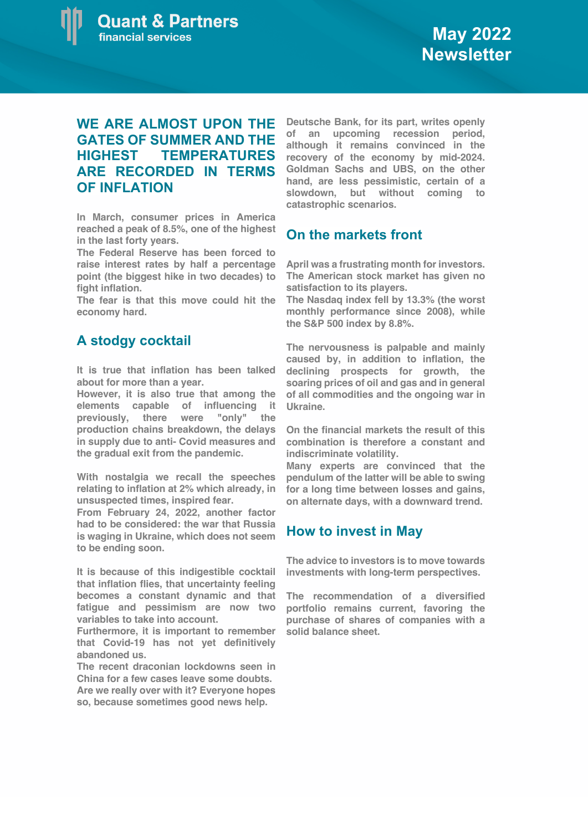## **WE ARE ALMOST UPON THE GATES OF SUMMER AND THE HIGHEST TEMPERATURES ARE RECORDED IN TERMS OF INFLATION**

**In March, consumer prices in America reached a peak of 8.5%, one of the highest in the last forty years.**

**The Federal Reserve has been forced to raise interest rates by half a percentage point (the biggest hike in two decades) to fight inflation.**

**The fear is that this move could hit the economy hard.**

## **A stodgy cocktail**

**It is true that inflation has been talked about for more than a year.** 

**However, it is also true that among the elements capable of influencing it previously, there were "only" the production chains breakdown, the delays in supply due to anti- Covid measures and the gradual exit from the pandemic.**

**With nostalgia we recall the speeches relating to inflation at 2% which already, in unsuspected times, inspired fear.** 

**From February 24, 2022, another factor had to be considered: the war that Russia is waging in Ukraine, which does not seem to be ending soon.**

**It is because of this indigestible cocktail that inflation flies, that uncertainty feeling becomes a constant dynamic and that fatigue and pessimism are now two variables to take into account.**

**Furthermore, it is important to remember that Covid-19 has not yet definitively abandoned us.**

**The recent draconian lockdowns seen in China for a few cases leave some doubts. Are we really over with it? Everyone hopes so, because sometimes good news help.**

**Deutsche Bank, for its part, writes openly of an upcoming recession period, although it remains convinced in the recovery of the economy by mid-2024. Goldman Sachs and UBS, on the other hand, are less pessimistic, certain of a slowdown, but without coming to catastrophic scenarios.**

## **On the markets front**

**April was a frustrating month for investors. The American stock market has given no satisfaction to its players.** 

**The Nasdaq index fell by 13.3% (the worst monthly performance since 2008), while the S&P 500 index by 8.8%.**

**The nervousness is palpable and mainly caused by, in addition to inflation, the declining prospects for growth, the soaring prices of oil and gas and in general of all commodities and the ongoing war in Ukraine.**

**On the financial markets the result of this combination is therefore a constant and indiscriminate volatility.** 

**Many experts are convinced that the pendulum of the latter will be able to swing for a long time between losses and gains, on alternate days, with a downward trend.**

## **How to invest in May**

**The advice to investors is to move towards investments with long-term perspectives.**

**The recommendation of a diversified portfolio remains current, favoring the purchase of shares of companies with a solid balance sheet.**